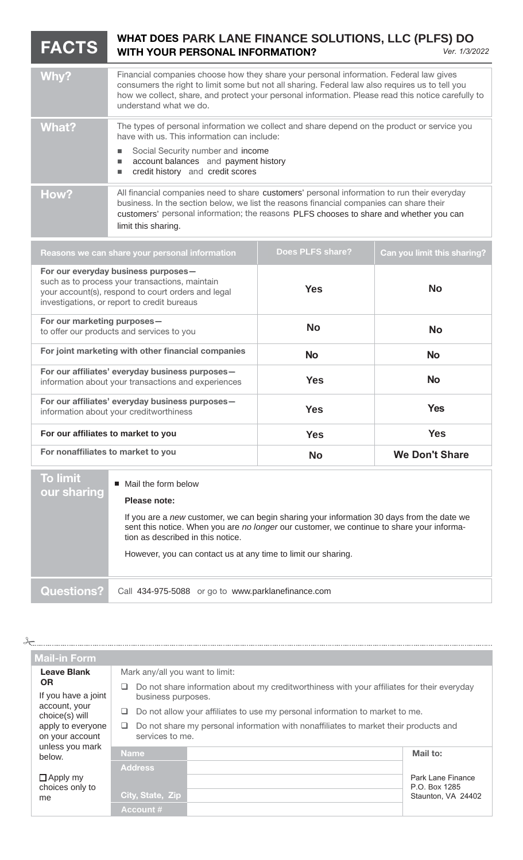## **FACTS** WHAT DOES PARK LANE FINANCE SOLUTIONS, LLC (PLFS) DO<br>WITH YOUR PERSONAL INFORMATION? **WITH YOUR PERSONAL INFORMATION?** *Ver. 1/3/2022*

| Why?  | Financial companies choose how they share your personal information. Federal law gives<br>consumers the right to limit some but not all sharing. Federal law also requires us to tell you<br>how we collect, share, and protect your personal information. Please read this notice carefully to<br>understand what we do. |
|-------|---------------------------------------------------------------------------------------------------------------------------------------------------------------------------------------------------------------------------------------------------------------------------------------------------------------------------|
| What? | The types of personal information we collect and share depend on the product or service you<br>have with us. This information can include:<br>Social Security number and income<br>account balances and payment history<br>credit history and credit scores                                                               |
| How?  | All financial companies need to share customers' personal information to run their everyday<br>business. In the section below, we list the reasons financial companies can share their<br>customers' personal information; the reasons PLFS chooses to share and whether you can<br>limit this sharing.                   |

| Does PLFS share? | Can you limit this sharing? |
|------------------|-----------------------------|
| <b>Yes</b>       | No                          |
| <b>No</b>        | <b>No</b>                   |
| <b>No</b>        | <b>No</b>                   |
| <b>Yes</b>       | <b>No</b>                   |
| <b>Yes</b>       | <b>Yes</b>                  |
| <b>Yes</b>       | <b>Yes</b>                  |
| <b>No</b>        | <b>We Don't Share</b>       |
|                  |                             |

| <b>To limit</b><br>our sharing | $\blacksquare$ Mail the form below<br>Please note:<br>If you are a new customer, we can begin sharing your information 30 days from the date we<br>sent this notice. When you are no longer our customer, we continue to share your informa-<br>tion as described in this notice.<br>However, you can contact us at any time to limit our sharing. |
|--------------------------------|----------------------------------------------------------------------------------------------------------------------------------------------------------------------------------------------------------------------------------------------------------------------------------------------------------------------------------------------------|
| <b>Questions?</b>              | Call 434-975-5088 or go to www.parklanefinance.com                                                                                                                                                                                                                                                                                                 |

 $\frac{1}{\sqrt{2}}$ 

**Mail-in Form Leave Blank OR** If you have a joint account, your choice(s) will apply to everyone on your account unless you mark below.  $\square$  Apply my choices only to Mark any/all you want to limit: Do not share information about my creditworthiness with your affiliates for their everyday business purposes. Do not allow your affiliates to use my personal information to market to me.  $\Box$  Do not share my personal information with nonaffiliates to market their products and services to me. **Name Mail to: Address** [Name of Financial Address **] City, State, Zip [Account #] Account #** me Park Lane Finance P.O. Box 1285 Staunton, VA 24402